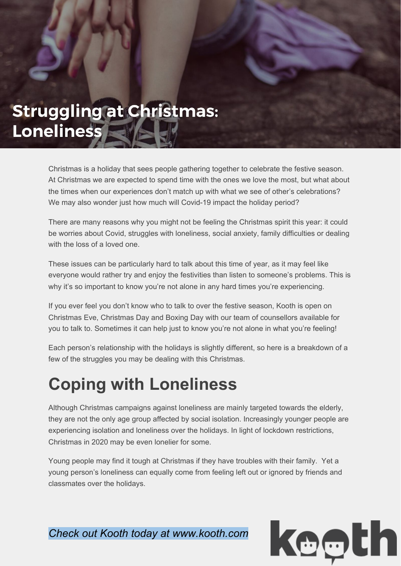## **Struggling at Christmas:** Loneliness

Christmas is a holiday that sees people gathering together to celebrate the festive season. At Christmas we are expected to spend time with the ones we love the most, but what about the times when our experiences don't match up with what we see of other's celebrations? We may also wonder just how much will Covid-19 impact the holiday period?

There are many reasons why you might not be feeling the Christmas spirit this year: it could be worries about Covid, struggles with loneliness, social anxiety, family difficulties or dealing with the loss of a loved one.

These issues can be particularly hard to talk about this time of year, as it may feel like everyone would rather try and enjoy the festivities than listen to someone's problems. This is why it's so important to know you're not alone in any hard times you're experiencing.

If you ever feel you don't know who to talk to over the festive season, Kooth is open on Christmas Eve, Christmas Day and Boxing Day with our team of counsellors available for you to talk to. Sometimes it can help just to know you're not alone in what you're feeling!

Each person's relationship with the holidays is slightly different, so here is a breakdown of a few of the struggles you may be dealing with this Christmas.

## **Coping with Loneliness**

Although Christmas campaigns against loneliness are mainly targeted towards the elderly, they are not the only age group affected by social isolation. Increasingly younger people are experiencing isolation and loneliness over the holidays. In light of lockdown restrictions, Christmas in 2020 may be even lonelier for some.

Young people may find it tough at Christmas if they have troubles with their family. Yet a young person's loneliness can equally come from feeling left out or ignored by friends and classmates over the holidays.

*Check out Kooth today at www.kooth.com*